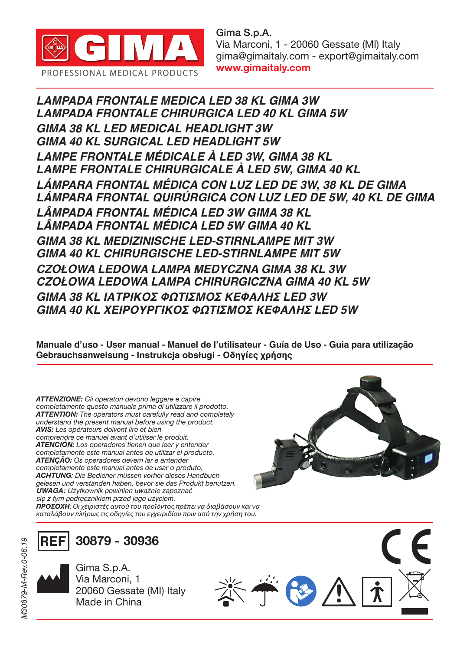

Gima S.p.A. Via Marconi, 1 - 20060 Gessate (MI) Italy gima@gimaitaly.com - export@gimaitaly.com www.gimaitaly.com

*LAMPADA FRONTALE MEDICA LED 38 KL GIMA 3W LAMPADA FRONTALE CHIRURGICA LED 40 KL GIMA 5W GIMA 38 KL LED MEDICAL HEADLIGHT 3W GIMA 40 KL SURGICAL LED HEADLIGHT 5W LAMPE FRONTALE MÉDICALE À LED 3W, GIMA 38 KL LAMPE FRONTALE CHIRURGICALE À LED 5W, GIMA 40 KL LÁMPARA FRONTAL MÉDICA CON LUZ LED DE 3W, 38 KL DE GIMA LÁMPARA FRONTAL QUIRÚRGICA CON LUZ LED DE 5W, 40 KL DE GIMA LÂMPADA FRONTAL MÉDICA LED 3W GIMA 38 KL LÂMPADA FRONTAL MÉDICA LED 5W GIMA 40 KL GIMA 38 KL MEDIZINISCHE LED-STIRNLAMPE MIT 3W GIMA 40 KL CHIRURGISCHE LED-STIRNLAMPE MIT 5W* **CZOŁOWA LEDOWA LAMPA MEDYCZNA GIMA 38 KL 3W CZOŁOWA LEDOWA LAMPA CHIRURGICZNA GIMA 40 KL 5W GIMA 38 KL ΙΑΤΡΙΚΟΣ ΦΩΤΙΣΜΟΣ ΚΕΦΑΛΗΣ LED 3W GIMA 40 KL ΧΕΙΡΟΥΡΓΙΚΟΣ ΦΩΤΙΣΜΟΣ ΚΕΦΑΛΗΣ LED 5W**

**Manuale d'uso - User manual - Manuel de l'utilisateur - Guía de Uso - Guia para utilização Gebrauchsanweisung - Instrukcja obsługi - Οδηγίες χρήσης** 

*ATTENZIONE: Gli operatori devono leggere e capire completamente questo manuale prima di utilizzare il prodotto. ATTENTION: The operators must carefully read and completely understand the present manual before using the product. AVIS: Les opérateurs doivent lire et bien comprendre ce manuel avant d'utiliser le produit. ATENCIÓN: Los operadores tienen que leer y entender completamente este manual antes de utilizar el producto. ATENÇÃO: Os operadores devem ler e entender completamente este manual antes de usar o produto. ACHTUNG: Die Bediener müssen vorher dieses Handbuch gelesen und verstanden haben, bevor sie das Produkt benutzen. UWAGA:* Użytkownik powinien uważnie zapoznać się z tym podręcznikiem przed jego użyciem. *ΠΡΟΣΟΧΗ: Οι χειριστές αυτού του προϊόντος πρέπει να διαβάσουν και να καταλάβουν πλήρως τις οδηγίες του εγχειριδίου πριν από την χρήση του.*



 $\leq$   $\rightarrow$   $\leftarrow$   $\leftarrow$   $\rightarrow$   $\rightarrow$ 

**REF 30879 - 30936**

> Gima S.p.A. Via Marconi, 1 20060 Gessate (MI) Italy Made in China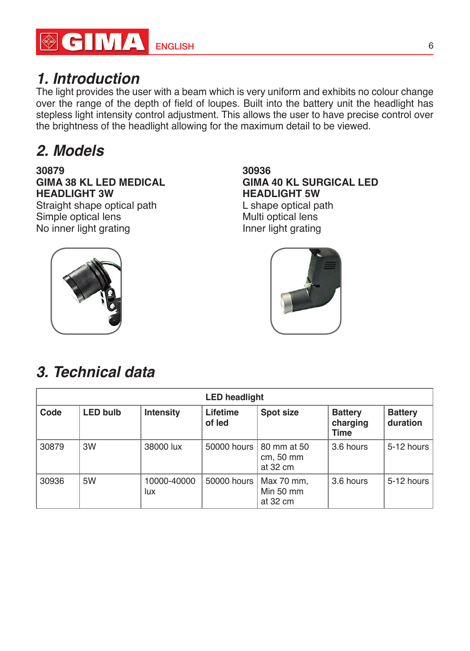

### *1. Introduction*

The light provides the user with a beam which is very uniform and exhibits no colour change over the range of the depth of field of loupes. Built into the battery unit the headlight has stepless light intensity control adjustment. This allows the user to have precise control over the brightness of the headlight allowing for the maximum detail to be viewed.

## *2. Models*

#### **30879 GIMA 38 KL LED MEDICAL HEADLIGHT 3W**

Straight shape optical path Simple optical lens No inner light grating

#### **30936 GIMA 40 KL SURGICAL LED HEADLIGHT 5W**

L shape optical path Multi optical lens Inner light grating





### *3. Technical data*

| <b>LED</b> headlight |                 |                    |                    |                                                    |                                           |                            |  |  |
|----------------------|-----------------|--------------------|--------------------|----------------------------------------------------|-------------------------------------------|----------------------------|--|--|
| Code                 | <b>LED bulb</b> | Intensity          | Lifetime<br>of led | Spot size                                          | <b>Battery</b><br>charging<br><b>Time</b> | <b>Battery</b><br>duration |  |  |
| 30879                | 3W              | 38000 lux          |                    | 50000 hours   80 mm at 50<br>cm, 50 mm<br>at 32 cm | 3.6 hours                                 | 5-12 hours                 |  |  |
| 30936                | 5W              | 10000-40000<br>lux | 50000 hours        | Max 70 mm,<br>Min 50 mm<br>at 32 cm                | 3.6 hours                                 | 5-12 hours                 |  |  |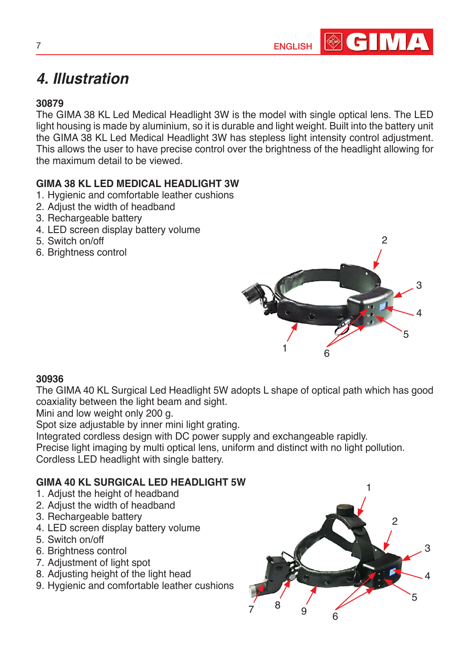

### *4. Illustration*

### **30879**

The GIMA 38 KL Led Medical Headlight 3W is the model with single optical lens. The LED light housing is made by aluminium, so it is durable and light weight. Built into the battery unit the GIMA 38 KL Led Medical Headlight 3W has stepless light intensity control adjustment. This allows the user to have precise control over the brightness of the headlight allowing for the maximum detail to be viewed.

### **GIMA 38 KL LED MEDICAL HEADLIGHT 3W**

- 1. Hygienic and comfortable leather cushions
- 2. Adjust the width of headband
- 3. Rechargeable battery
- 4. LED screen display battery volume
- 5. Switch on/off
- 6. Brightness control



#### **30936**

The GIMA 40 KL Surgical Led Headlight 5W adopts L shape of optical path which has good coaxiality between the light beam and sight.

Mini and low weight only 200 g.

Spot size adjustable by inner mini light grating.

Integrated cordless design with DC power supply and exchangeable rapidly.

Precise light imaging by multi optical lens, uniform and distinct with no light pollution.

Cordless LED headlight with single battery.

#### **GIMA 40 KL SURGICAL LED HEADLIGHT 5W**

- 1. Adjust the height of headband
- 2. Adjust the width of headband
- 3. Rechargeable battery
- 4. LED screen display battery volume
- 5. Switch on/off
- 6. Brightness control
- 7. Adjustment of light spot
- 8. Adjusting height of the light head
- 9. Hygienic and comfortable leather cushions

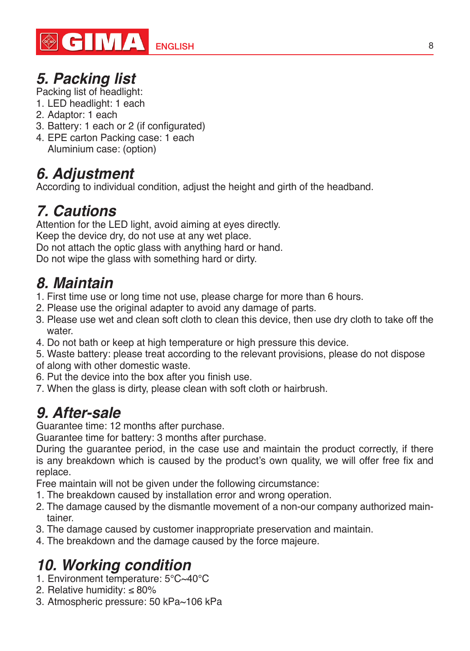

## **5. Packing list**

Packing list of headlight:

- 1. LED headlight: 1 each
- 2. Adaptor: 1 each
- 3. Battery: 1 each or 2 (if configurated)
- 4. EPE carton Packing case: 1 each Aluminium case: (option)

### **6. Adjustment**

According to individual condition, adjust the height and girth of the headband.

## *7. Cautions*

Attention for the LED light, avoid aiming at eyes directly.

Keep the device dry, do not use at any wet place.

Do not attach the optic glass with anything hard or hand.

Do not wipe the glass with something hard or dirty.

### *8. Maintain*

- 1. First time use or long time not use, please charge for more than 6 hours.
- 2. Please use the original adapter to avoid any damage of parts.
- 3. Please use wet and clean soft cloth to clean this device, then use dry cloth to take off the water
- 4. Do not bath or keep at high temperature or high pressure this device.
- 5. Waste battery: please treat according to the relevant provisions, please do not dispose
- of along with other domestic waste.
- 6. Put the device into the box after you finish use.
- 7. When the glass is dirty, please clean with soft cloth or hairbrush.

### *9. After-sale*

Guarantee time: 12 months after purchase.

Guarantee time for battery: 3 months after purchase.

During the guarantee period, in the case use and maintain the product correctly, if there is any breakdown which is caused by the product's own quality, we will offer free fix and replace.

Free maintain will not be given under the following circumstance:

- 1. The breakdown caused by installation error and wrong operation.
- 2. The damage caused by the dismantle movement of a non-our company authorized maintainer.
- 3. The damage caused by customer inappropriate preservation and maintain.
- 4. The breakdown and the damage caused by the force majeure.

# **10. Working condition**

- 1. Environment temperature: 5°C~40°C
- 2. Relative humidity: ≤ 80%
- 3. Atmospheric pressure: 50 kPa~106 kPa